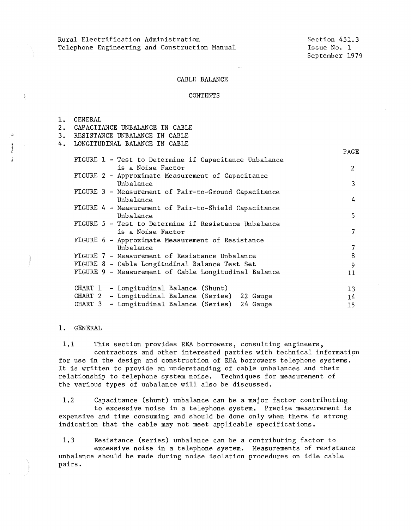Rural Electrification Administration Telephone Engineering and Construction Manual

PAGE

### CABLE BALANCE

#### CONTENTS

| GENERAL |
|---------|
|---------|

- 2. CAPACITANCE UNBALANCE IN CABLE
- 3. RESISTANCE UNBALANCE IN CABLE
- 4. LONGITUDINAL BALANCE IN CABLE

|                                                                                                                                                | L HULL                                                                                                     |
|------------------------------------------------------------------------------------------------------------------------------------------------|------------------------------------------------------------------------------------------------------------|
|                                                                                                                                                | $\overline{2}$                                                                                             |
|                                                                                                                                                | 3                                                                                                          |
| FIGURE 3 - Measurement of Pair-to-Ground Capacitance                                                                                           | 4                                                                                                          |
| FIGURE 4 - Measurement of Pair-to-Shield Capacitance                                                                                           | 5                                                                                                          |
| FIGURE 5 - Test to Determine if Resistance Unbalance                                                                                           | 7                                                                                                          |
| FIGURE 6 - Approximate Measurement of Resistance                                                                                               | 7                                                                                                          |
| FIGURE 7 - Measurement of Resistance Unbalance                                                                                                 | 8                                                                                                          |
| FIGURE 8 - Cable Longitudinal Balance Test Set                                                                                                 | 9                                                                                                          |
| FIGURE 9 - Measurement of Cable Longitudinal Balance                                                                                           | 11                                                                                                         |
| CHART 1 - Longitudinal Balance (Shunt)<br>CHART 2 - Longitudinal Balance (Series) 22 Gauge<br>CHART 3 - Longitudinal Balance (Series) 24 Gauge | 13<br>14<br>15                                                                                             |
|                                                                                                                                                | FIGURE 1 - Test to Determine if Capacitance Unbalance<br>FIGURE 2 - Approximate Measurement of Capacitance |

## 1. GENERAL

1.1 This section provides REA borrowers, consulting engineers, contractors and other interested parties with technical information for use in the design and construction of REA borrowers telephone systems. It is written to provide an understanding of cable unbalances and their relationship to telephone system noise. Techniques for measurement of the various types of unbalance will also be discussed.

1.2 Capacitance (shunt) unbalance can be a major factor contributing to excessive noise in a telephone system. Precise measurement is expensive and time consuming and should be done only when there is strong indication that the cable may not meet applicable specifications.

1.3 Resistance (series) unbalance can be a contributing factor to excessive noise in a telephone system. Measurements of resistance unbalance should be made during noise isolation procedures on idle cable pairs.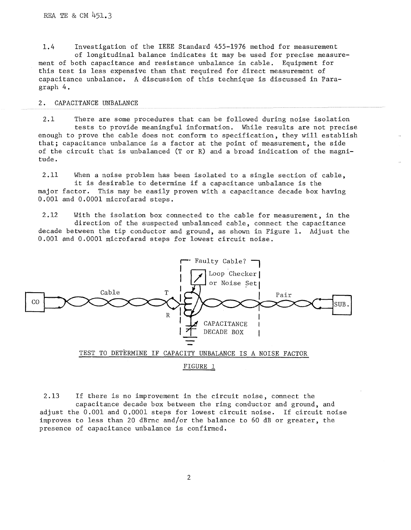1.4 Investigation of the IEEE Standard 455-1976 method for measurement of longitudinal balance indicates it may be used for precise measurement of both capacitance and resistance unbalance in cable. Equipment for this test is less expensive than that required for direct measurement of capacitance unbalance. A discussion of this technique is discussed in Paragraph 4.

## 2. CAPACITANCE UNBALANCE

2.1 There are some procedures that can be followed during noise isolation tests to provide meaningful information. While results are not precise enough to prove the cable does not conform to specification, they will establish that; capacitance unbalance is a factor at the point of measurement, the side of the circuit that is unbalanced (Tor R) and a broad indication of the magnitude.

2.11 When a noise problem has been isolated to a single section of cable, it is desirable to determine if a capacitance unbalance is the major factor. This may be easily proven with a capacitance decade box having 0.001 and 0.0001 microfarad steps.

2.12 With the isolation box connected to the cable for measurement, in the direction of the suspected unbalanced cable, connect the capacitance decade between the tip conductor and ground, as shown in Figure 1. Adjust the 0.001 and 0,0001 microfarad steps for lowest circuit noise.



2.13 If there is no improvement in the circuit noise, connect the capacitance decade box between the ring conductor and ground, and adjust the 0.001 and 0.0001 steps for lowest circuit noise. If circuit noise improves to less than 20 dBrnc and/or the balance to 60 dB or greater, the presence of capacitance unbalance is confirmed.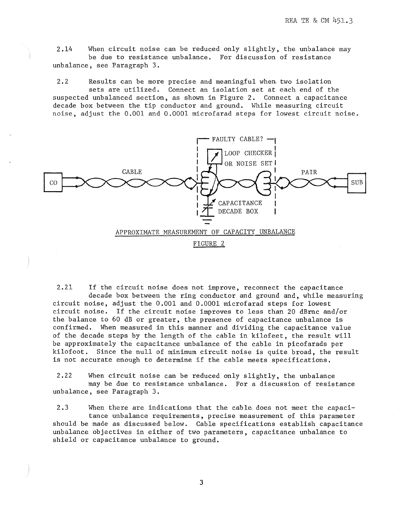2.14 When circuit noise can be reduced only slightly, the unbalance may be due to resistance unbalance. For discussion of resistance unbalance, see Paragraph 3.

2.2 Results can be more precise and meaningful when two isolation sets are utilized. Connect an isolation set at each end of the suspected unbalanced section, as shown in Figure 2. Connect a capacitance decade box between the tip conductor and ground. While measuring circuit noise, adjust the 0.001 and 0.0001 microfarad steps for lowest circuit noise.



2.21 If the circuit noise does not improve, reconnect the capacitance decade box between the ring conductor and ground and, while measuring circuit noise, adjust the 0.001 and 0.0001 microfarad steps for lowest circuit noise. If the circuit noise improves to less than 20 dBrnc and/or the balance to 60 dB or greater, the presence of capacitance unbalance is confirmed. When measured in this manner and dividing the capacitance value of the decade steps by the length of the cable in kilofeet, the result will be approximately the capacitance unbalance of the cable in picofarads per kilofoot. Since the null of minimum circuit noise is quite broad, the result is not accurate enough to determine if the cable meets specifications.

2,22 When circuit noise can be reduced only slightly, the unbalance may be due to resistance unbalance. For a discussion of resistance unbalance, see Paragraph 3.

2.3 When there are indications that the cable. does not meet the capacitance unbalance requirements, precise measurement of this parameter should be made as discussed below. Cable specifications establish capacitance unbalance objectives in either of two parameters, capacitance unbalance to shield or capacitance unbalance to ground.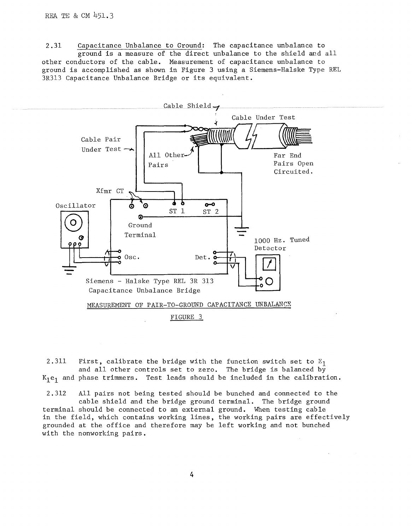with the nonworking pairs.

2.31 Capacitance Unbalance to Ground: The capacitance unbalance to ground is a measure of the direct unbalance to the shield and all other conductors of the cable. Measurement of capacitance unbalance to ground is accomplished as shown in Figure 3 using a Siemens-Halske Type REL 3R313 Capacitance Unbalance Bridge or its equivalent.



2.311 First, calibrate the bridge with the function switch set to  $E_1$ and all other controls set to zero. The bridge is balanced  $b\bar{y}$  $K_1e_1$  and phase trimmers. Test leads should be included in the calibration.

2.312 All pairs not being tested should be bunched and connected to the cable shield and the bridge ground terminal. The bridge ground terminal should be connected to an external ground. When testing cable in the field, which contains working lines, the working pairs are effectively grounded at the office and therefore may be left working and not bunched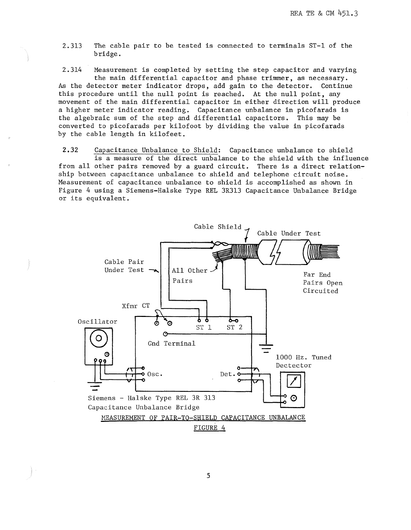2. 313 The cable pair to be tested is connected to terminals ST-1 of the bridge.

2.314 Measurement is completed by setting the step capacitor and varying the main differential capacitor and phase trimmer, as necessary.<br>tector meter indicator drops, add gain to the detector. Continue As the detector meter indicator drops, add gain to the detector. this procedure until the null point is reached. At the null point, any movement of the main differential capacitor in either direction will produce a higher meter indicator reading. Capacitance unbalance in picofarads is the algebraic sum of the step and differential capacitors. This may be converted to picofarads per kilofoot by dividing the value in picofarads by the cable length in kilofeet.

**2.32** Capacitance Unbalance to Shield: Capacitance unbalance to shield is a measure of the direct unbalance to the shield with the influence from all other pairs removed by a guard circuit. There is a direct relationship between capacitance unbalance to shield and telephone circuit noise. Measurement of capacitance unbalance to shield is accomplished as shown in Figure 4 using a Siemens-Halske Type REL 3R313 Capacitance Unbalance Bridge or its equivalent.

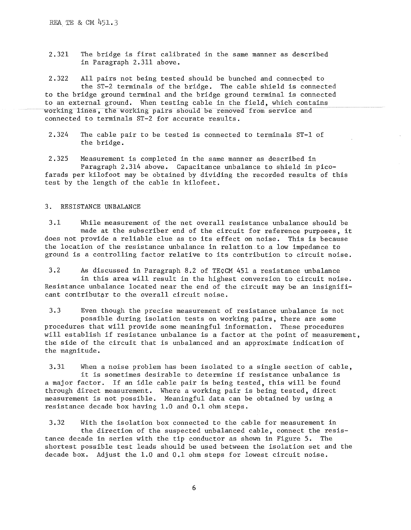2.321 The bridge is first calibrated in the same manner as described in Paragraph 2.311 above.

2.322 All pairs not being tested should be bunched and connected to<br>the ST-2 terminals of the bridge. The cable shield is connected the  $ST-2$  terminals of the bridge. to the bridge ground terminal and the bridge ground terminal is connected to an external ground. When testing cable in the field, which contains working lines, the working pairs should be removed from service and connected to terminals ST-2 for accurate results,

2.324 The cable pair to be tested is connected to terminals ST-1 of the bridge.

2.325 Measurement is completed in the same manner as described in Paragraph 2.314 above. Capacitance unbalance to shield in picofarads per kilofoot may be obtained by dividing the recorded results of this test by the length of the cable in kilofeet,

## 3. RESISTANCE UNBALANCE

3.1 While measurement of the net overall resistance unbalance should be made at the subscriber end of the circuit for reference purposes, it does not provide a reliable clue as to its effect on noise. This is because the location of the resistance unbalance in relation to a low impedance to ground is a controlling factor relative to its contribution to circuit noise.

3.2 As discussed in Paragraph 8.2 of TE¢CM 451 a resistance unbalance in this area will result in the highest conversion to circuit noise. Resistance unbalance located near the end of the circuit may be an insignificant contributor to the overall circuit noise.

3.3 Even though the precise measurement of resistance unbalance is not possible during isolation tests on working pairs, there are some procedures that will provide some meaningful information. These procedures will establish if resistance unbalance is a factor at the point of measurement, the side of the circuit that is unbalanced and an approximate indication of the magnitude.

3.31 When a noise problem has been isolated to a single section of cable, it is sometimes desirable to determine if resistance unbalance is a major factor. If an idle cable pair is being tested, this will be found through direct measurement. Where a working pair is being tested, direct measurement is not possible, Meaningful data can be obtained by using a resistance decade box having 1.0 and 0.1 ohm steps.

3.32 With the isolation box connected to the cable for measurement in the direction of the suspected unbalanced cable, connect the resistance decade in series with the tip conductor as shown in Figure 5. The shortest possible test leads should be used between the isolation set and the decade box. Adjust the 1.0 and 0.1 ohm steps for lowest circuit noise.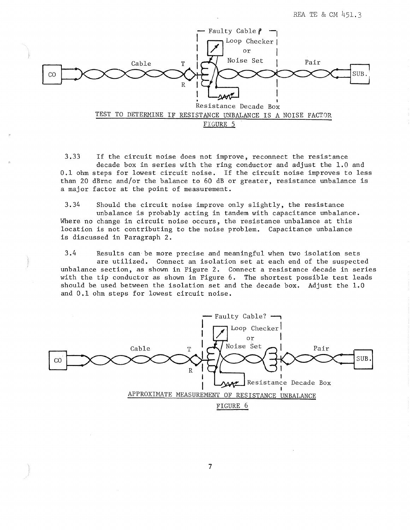REA TE & CM 451. 3



3.33 If the circuit noise does not improve, reconnect the resistance decade box in series with the ring conductor and adjust the 1.0 and 0.1 ohm steps for lowest circuit noise. If the circuit noise improves to less than 20 dBrnc and/or the balance to 60 dB or greater, resistance unbalance is a major factor at the point of measurement.

3.34 Should the circuit noise improve only slightly, the resistance unbalance is probably acting in tandem with capacitance unbalance. Where no change in circuit noise occurs, the resistance unbalance at this location is not contributing to the noise problem. Capacitance unbalance is discussed in Paragraph 2.

3.4 Results can be more precise and meaningful when two isolation sets are utilized. Connect an isolation set at each end of the suspected unbalance section, as shown in Figure 2. Connect a resistance decade in series with the tip conductor as shown in Figure 6. The shortest possible test leads should be used between the isolation set and the decade box. Adjust the  $1.0$ and 0.1 ohm steps for lowest circuit noise.

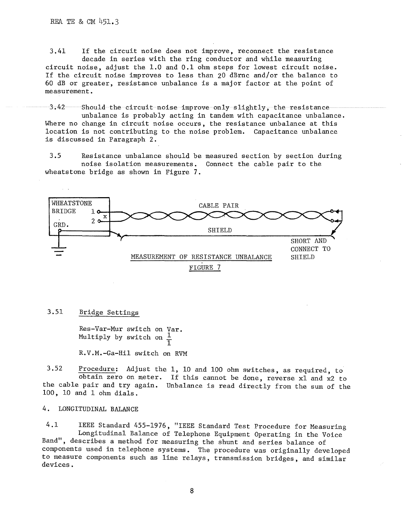3.41 If the circuit noise does not improve, reconnect the resistance decade in series with the ring conductor and while measuring

circuit noise, adjust the 1.0 and 0.1 ohm steps for lowest circuit noise. If the circuit noise improves to less than 20 dBrnc and/or the balance to 60 dB or greater, resistance unbalance is a major factor at the point of measurement.

3.42 Should the circuit noise improve only slightly, the resistance unbalance is probably acting in tandem with capacitance unbalance. Where no change in circuit noise occurs, the resistance unbalance at this location is not contributing to the noise problem. Capacitance unbalance is discussed in Paragraph 2.

3.5 Resistance unbalance should be measured section by section during noise isolation measurements. Connect the cable pair to the wheatstone bridge as shown in Figure 7.



#### 3.51 Bridge Settings

 $\sim$   $\sim$ 

Res-Var-Mur switch on Var. Multiply by switch on  $\frac{1}{1}$ R.V.M.-Ga-Hil switch on RVM

3.52 Procedure: Adjust the 1, 10 and 100 ohm switches, as required, to obtain zero on meter. If this cannot be done, reverse xl and x2 to the cable pair and try again. Unbalance is read directly from the sum of the 100, 10 and 1 ohm dials.

## 4. LONGITUDINAL BALANCE

4.1 IEEE Standard 455-1976, "IEEE Standard Test Procedure for Measuring Longitudinal Balance of Telephone Equipment Operating in the Voice Band", describes a method for measuring the shunt and series balance of components used in telephone systems, The procedure was originally developed to measure components such as line relays, transmission bridges, and similar devices.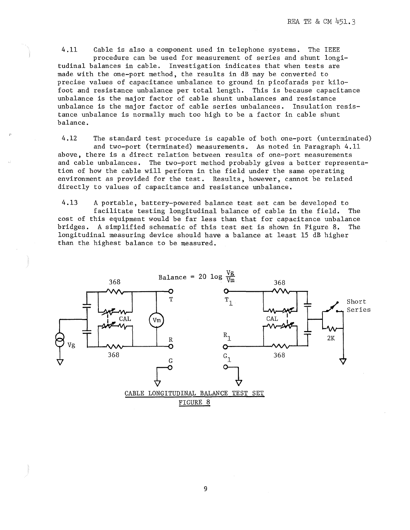4.11 Cable is also a component used in telephone systems. The IEEE procedure can be used for measurement of series and shunt longitudinal balances in cable. Investigation indicates that when tests are made with the one-port method, the results in dB may be converted to precise values of capacitance unbalance to ground in picofarads per kilofoot and resistance unbalance per total length. This is because capacitance unbalance is the major factor of cable shunt unbalances and resistance unbalance is the major factor of cable series unbalances, Insulation resistance unbalance is normally much too high to be a factor in cable shunt balance.

4.12 The standard test procedure is capable of both one-port (unterminated) and two-port (terminated) measurements. As noted in Paragraph 4.11 above, there is a direct relation between results of one-port measurements and cable unbalances. The two-port method probably gives a better representation of how the cable will perform in the field under the same operating environment as provided for the test. Results, however, cannot be related directly to values of capacitance and resistance unbalance,

4.13 A portable, battery-powered balance test set can be developed to facilitate testing longitudinal balance of cable in the field. The cost of this equipment would be far less than that for capacitance unbalance bridges. A simplified schematic of this test set is shown in Figure 8. The longitudinal measuring device should have a balance at least 15 dB higher than the highest balance to be measured.

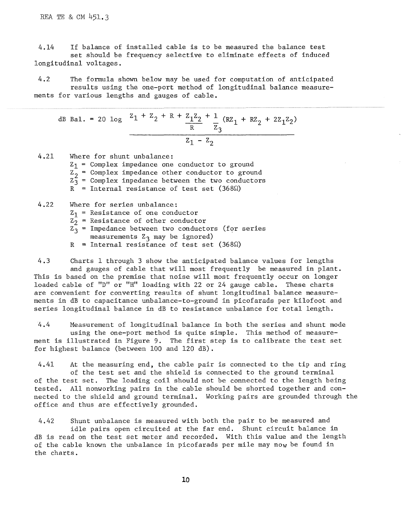REA TE & CM 451,3

4.14 If balance of installed cable is to be measured the balance test set should be frequency selective to eliminate effects of induced longitudinal voltages.

4.2 The formula shown below may be used for computation of anticipated results using the one-port method of longitudinal balance measurements for various lengths and gauges of cable.

dB Bal. = 20 log  $z_1 + z_2 + R + \frac{z_1 z_2}{R} + \frac{1}{7}$  (RZ<sub>1</sub> + RZ<sub>2</sub> + 2Z<sub>1</sub>Z<sub>2</sub>)  $\overline{R}$   $\overline{z}_3$ 

4.21 Where for shunt unbalance:

 $Z_1$  = Complex impedance one conductor to ground

z2 = **Complex impedance other conductor to ground** 

 $Z_3^2$  = Complex inpedance between the two conductors

 $R$  = Internal resistance of test set (368 $\Omega$ )

- 4.22 Where for series unbalance:
	- $Z_1$  = Resistance of one conductor
	- $z_2$  = Resistance of other conductor
	- $z_3$  = Impedance between two conductors (for series measurements  $z_3$  may be ignored)
	- $R$  = Internal resistance of test set (368 $\Omega$ )

4.3 Charts 1 through 3 show the anticipated balance values for lengths and gauges of cable that will most frequently be measured in plant. This is based on the premise that noise will most frequently occur on longer loaded cable of "D" or "H" loading with 22 or 24 gauge cable. These charts are convenient for converting results of shunt longitudinal balance measurements in dB to capacitance unbalance-to-ground in picofarads per kilofoot and series longitudinal balance in dB to resistance unbalance for total length.

4.4 Measurement of longitudinal balance in both the series and shunt mode using the one-port method is quite simple. This method of measurement is illustrated in Figure 9. The first step is to calibrate the test set for highest balance (between 100 and 120 dB).

4.41 At the measuring end, the cable pair is connected to the tip and ring of the test set and the shield is connected to the ground terminal of the test set. The loading coil should not be connected to the length being tested. All nonworking pairs in the cable should be shorted together and connected to the shield and ground terminal. Working pairs are grounded through the office and thus are effectively grounded.

4.42 Shunt unbalance is measured with both the pair to be measured and idle pairs open circuited at the far end. Shunt circuit balance in dB is read on the test set meter and recorded. With this value and the length of the cable known the unbalance in picofarads per mile may now be found in the charts.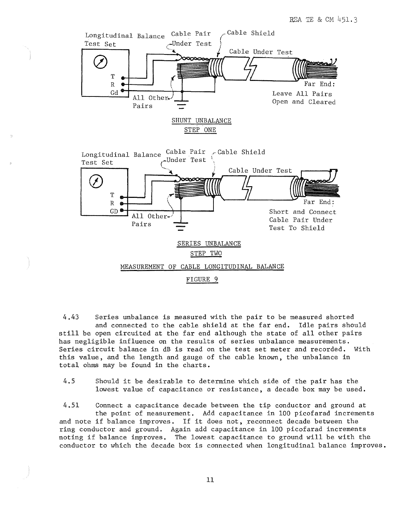

4.43 Series unbalance is measured with the pair to be measured shorted and connected to the cable shield at the far end. Idle pairs should still be open circuited at the far end although the state of all other pairs has negligible influence on the results of series unbalance measurements. Series circuit balance in dB is read on the test set meter and recorded. With this value, and the length and gauge of the cable known, the unbalance in total ohms may be found in the charts.

4.5 Should it be desirable to determine which side of the pair has the lowest value of capacitance or resistance, a decade box may be used.

4.51 Connect a capacitance decade between the tip conductor and ground at the point of measurement. Add capacitance in 100 picofarad increments and note if balance improves. If it does not, reconnect decade between the ring conductor and ground. Again add capacitance in 100 picofarad increments noting if balance improves. The lowest capacitance to ground will be with the conductor to which the decade box is connected when longitudinal balance improves.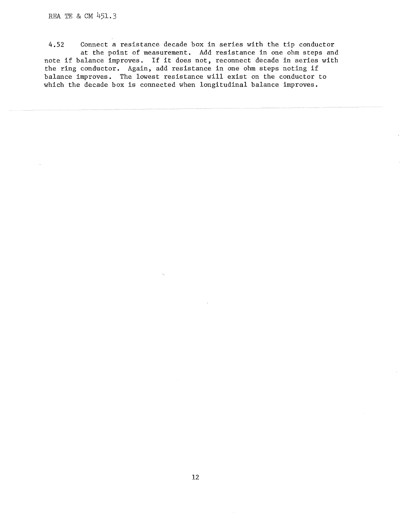# REA TE & CM 45l.3

4.52 Connect a resistance decade box in series with the tip conductor at the point of measurement. Add resistance in one ohm steps and note if balance improves. If it does not, reconnect decade in series with the ring conductor. Again, add resistance in one ohm steps noting if balance improves. The lowest resistance will exist on the conductor to which the decade box is connected when longitudinal balance improves.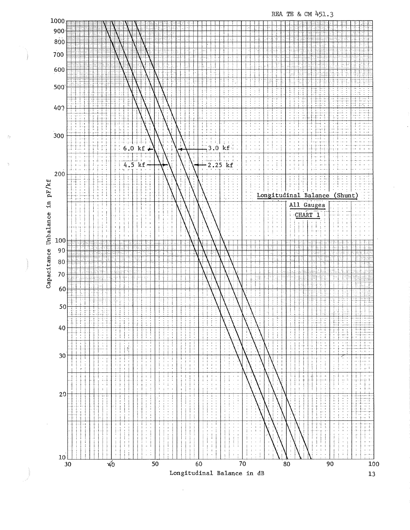

REA TE & CM 451.3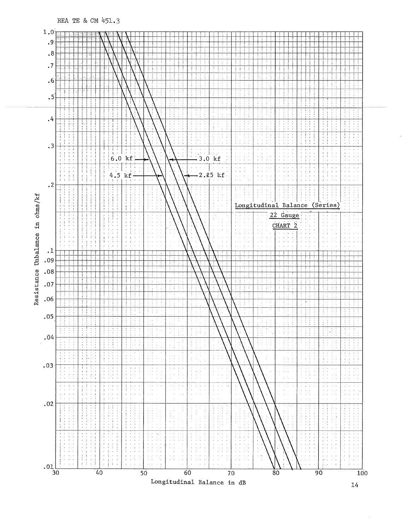

REA TE & CM 451.3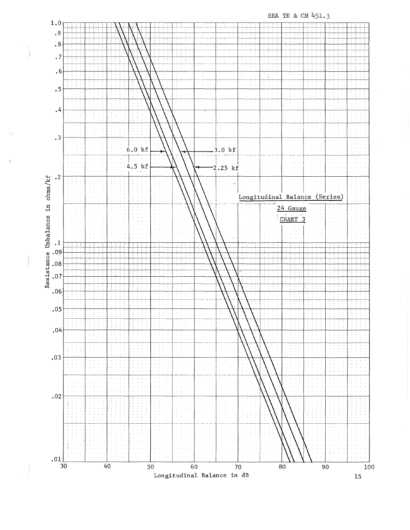REA TE & CM 451.3  $1.0$  $\cdot$  9  $\cdot$  8  $\cdot$  7  $\ddot{6}$ Ħ  $\cdot$  5  $\cdot$  $\cdot$ 3  $6.0 kf$  $.3.0 \text{ kf}$  $4.5$  kf  $2.25$  kf  $\cdot$ <sup>2</sup> Resistance Unbalance in ohms/kf L Longitudinal Balance (Series) 24 Gauge CHART<sup>3</sup>  $\cdot^{\,1}$  $.09$  ${\bf .08}$  $.07$  $.06$  $.05$ Ħ  $.04$  $\mathbb{I}$ .03  $.02$  $.01$   $\frac{1}{30}$  $40$ 50 60 70  $80<sub>1</sub>$ 90 100

Longitudinal Balance in dB

 $\overline{15}$ 

Ď

 $\hat{Y}$